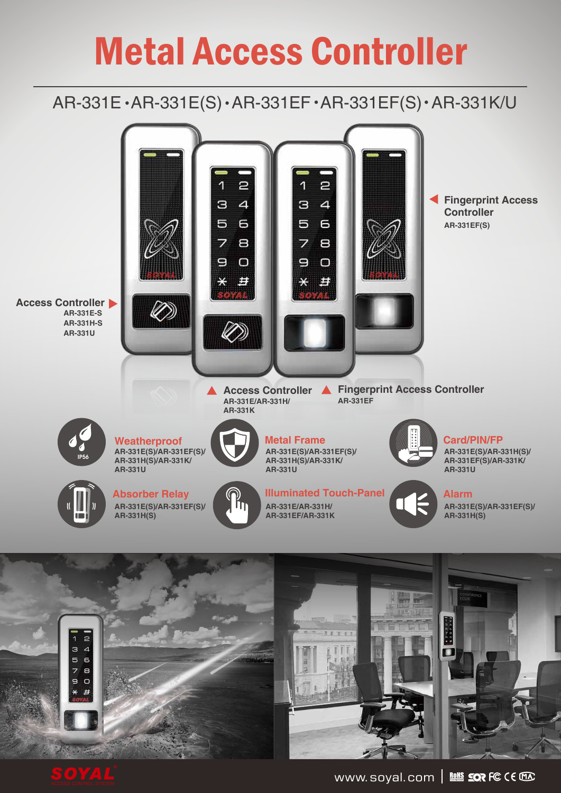# Metal Access Controller

## AR-331E · AR-331E(S) · AR-331EF · AR-331EF(S) · AR-331K/U